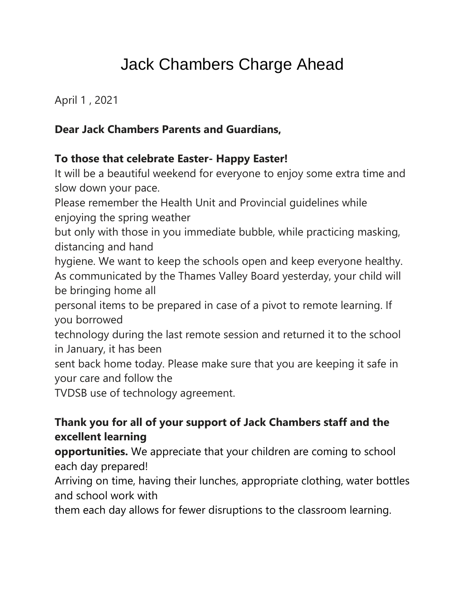## Jack Chambers Charge Ahead

April 1 , 2021

## **Dear Jack Chambers Parents and Guardians,**

## **To those that celebrate Easter- Happy Easter!**

It will be a beautiful weekend for everyone to enjoy some extra time and slow down your pace.

Please remember the Health Unit and Provincial guidelines while enjoying the spring weather

but only with those in you immediate bubble, while practicing masking, distancing and hand

hygiene. We want to keep the schools open and keep everyone healthy. As communicated by the Thames Valley Board yesterday, your child will be bringing home all

personal items to be prepared in case of a pivot to remote learning. If you borrowed

technology during the last remote session and returned it to the school in January, it has been

sent back home today. Please make sure that you are keeping it safe in your care and follow the

TVDSB use of technology agreement.

## **Thank you for all of your support of Jack Chambers staff and the excellent learning**

**opportunities.** We appreciate that your children are coming to school each day prepared!

Arriving on time, having their lunches, appropriate clothing, water bottles and school work with

them each day allows for fewer disruptions to the classroom learning.